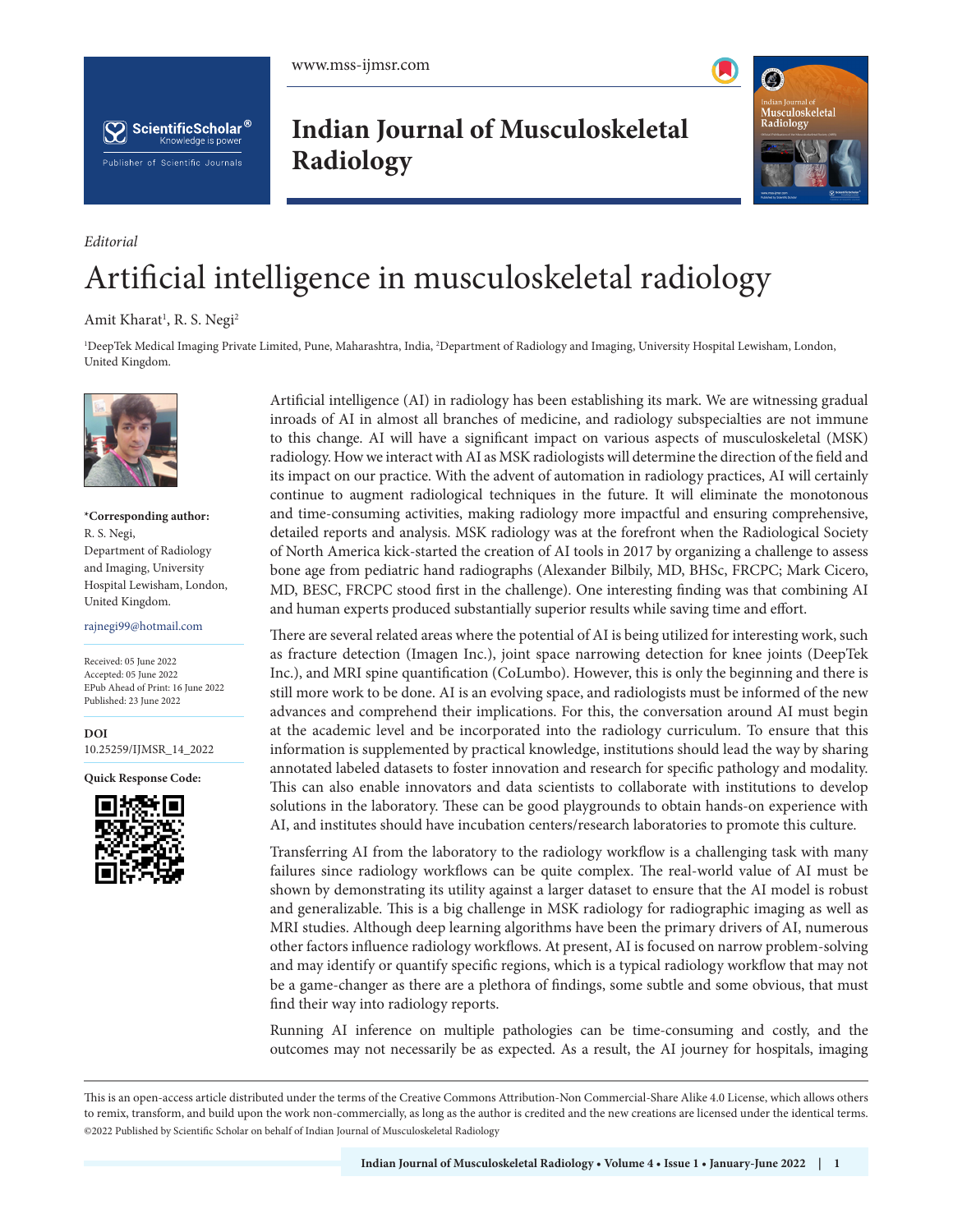



**Indian Journal of Musculoskeletal Radiology**



## Artificial intelligence in musculoskeletal radiology

## Amit Kharat<sup>1</sup>, R. S. Negi<sup>2</sup>

1 DeepTek Medical Imaging Private Limited, Pune, Maharashtra, India, 2 Department of Radiology and Imaging, University Hospital Lewisham, London, United Kingdom.



*Editorial*

**\*Corresponding author:** R. S. Negi, Department of Radiology and Imaging, University Hospital Lewisham, London, United Kingdom.

rajnegi99@hotmail.com

Received: 05 June 2022 Accepted: 05 June 2022 EPub Ahead of Print: 16 June 2022 Published: 23 June 2022

**DOI** [10.25259/IJMSR\\_14\\_2022](https://dx.doi.org/10.25259/IJMSR_14_2022)

**Quick Response Code:**



Artificial intelligence (AI) in radiology has been establishing its mark. We are witnessing gradual inroads of AI in almost all branches of medicine, and radiology subspecialties are not immune to this change. AI will have a significant impact on various aspects of musculoskeletal (MSK) radiology. How we interact with AI as MSK radiologists will determine the direction of the field and its impact on our practice. With the advent of automation in radiology practices, AI will certainly continue to augment radiological techniques in the future. It will eliminate the monotonous and time-consuming activities, making radiology more impactful and ensuring comprehensive, detailed reports and analysis. MSK radiology was at the forefront when the Radiological Society of North America kick-started the creation of AI tools in 2017 by organizing a challenge to assess bone age from pediatric hand radiographs (Alexander Bilbily, MD, BHSc, FRCPC; Mark Cicero, MD, BESC, FRCPC stood first in the challenge). One interesting finding was that combining AI and human experts produced substantially superior results while saving time and effort.

There are several related areas where the potential of AI is being utilized for interesting work, such as fracture detection (Imagen Inc.), joint space narrowing detection for knee joints (DeepTek Inc.), and MRI spine quantification (CoLumbo). However, this is only the beginning and there is still more work to be done. AI is an evolving space, and radiologists must be informed of the new advances and comprehend their implications. For this, the conversation around AI must begin at the academic level and be incorporated into the radiology curriculum. To ensure that this information is supplemented by practical knowledge, institutions should lead the way by sharing annotated labeled datasets to foster innovation and research for specific pathology and modality. This can also enable innovators and data scientists to collaborate with institutions to develop solutions in the laboratory. These can be good playgrounds to obtain hands-on experience with AI, and institutes should have incubation centers/research laboratories to promote this culture.

Transferring AI from the laboratory to the radiology workflow is a challenging task with many failures since radiology workflows can be quite complex. The real-world value of AI must be shown by demonstrating its utility against a larger dataset to ensure that the AI model is robust and generalizable. This is a big challenge in MSK radiology for radiographic imaging as well as MRI studies. Although deep learning algorithms have been the primary drivers of AI, numerous other factors influence radiology workflows. At present, AI is focused on narrow problem-solving and may identify or quantify specific regions, which is a typical radiology workflow that may not be a game-changer as there are a plethora of findings, some subtle and some obvious, that must find their way into radiology reports.

Running AI inference on multiple pathologies can be time-consuming and costly, and the outcomes may not necessarily be as expected. As a result, the AI journey for hospitals, imaging

This is an open-access article distributed under the terms of the Creative Commons Attribution-Non Commercial-Share Alike 4.0 License, which allows others to remix, transform, and build upon the work non-commercially, as long as the author is credited and the new creations are licensed under the identical terms. ©2022 Published by Scientific Scholar on behalf of Indian Journal of Musculoskeletal Radiology